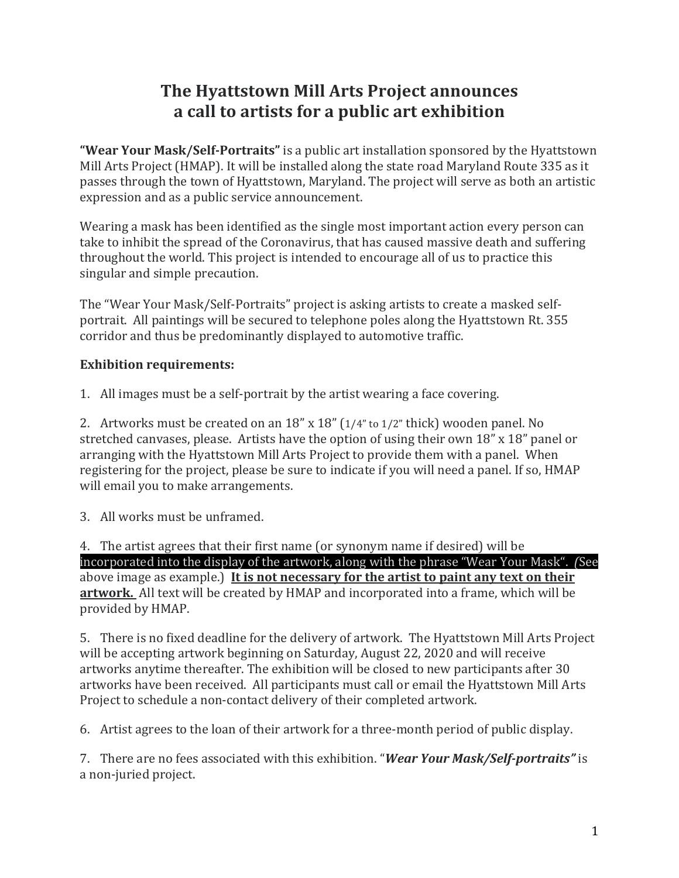## **The Hyattstown Mill Arts Project announces a call to artists for a public art exhibition**

**"Wear Your Mask/Self-Portraits"** is a public art installation sponsored by the Hyattstown Mill Arts Project (HMAP). It will be installed along the state road Maryland Route 335 as it passes through the town of Hyattstown, Maryland. The project will serve as both an artistic expression and as a public service announcement.

Wearing a mask has been identified as the single most important action every person can take to inhibit the spread of the Coronavirus, that has caused massive death and suffering throughout the world. This project is intended to encourage all of us to practice this singular and simple precaution.

The "Wear Your Mask/Self-Portraits" project is asking artists to create a masked selfportrait. All paintings will be secured to telephone poles along the Hyattstown Rt. 355 corridor and thus be predominantly displayed to automotive traffic.

## **Exhibition requirements:**

1. All images must be a self-portrait by the artist wearing a face covering.

2. Artworks must be created on an  $18''$  x  $18''$  ( $1/4''$  to  $1/2''$  thick) wooden panel. No stretched canvases, please. Artists have the option of using their own  $18"$  x  $18"$  panel or arranging with the Hyattstown Mill Arts Project to provide them with a panel. When registering for the project, please be sure to indicate if you will need a panel. If so, HMAP will email you to make arrangements.

3. All works must be unframed.

4. The artist agrees that their first name (or synonym name if desired) will be incorporated into the display of the artwork, along with the phrase "Wear Your Mask". (See above image as example.) It is not necessary for the artist to paint any text on their artwork. All text will be created by HMAP and incorporated into a frame, which will be provided by HMAP.

5. There is no fixed deadline for the delivery of artwork. The Hyattstown Mill Arts Project will be accepting artwork beginning on Saturday, August 22, 2020 and will receive artworks anytime thereafter. The exhibition will be closed to new participants after 30 artworks have been received. All participants must call or email the Hyattstown Mill Arts Project to schedule a non-contact delivery of their completed artwork.

6. Artist agrees to the loan of their artwork for a three-month period of public display.

7. There are no fees associated with this exhibition. "*Wear Your Mask/Self-portraits"* is a non-juried project.